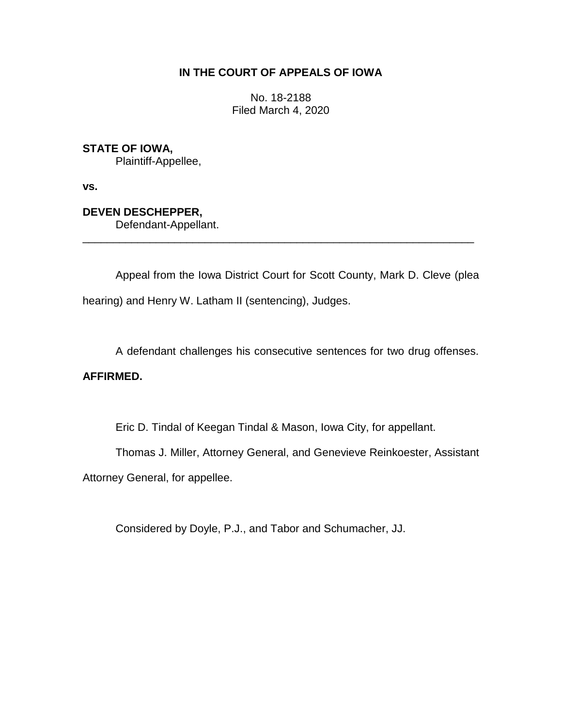## **IN THE COURT OF APPEALS OF IOWA**

No. 18-2188 Filed March 4, 2020

### **STATE OF IOWA,**

Plaintiff-Appellee,

**vs.**

# **DEVEN DESCHEPPER,**

Defendant-Appellant.

Appeal from the Iowa District Court for Scott County, Mark D. Cleve (plea hearing) and Henry W. Latham II (sentencing), Judges.

\_\_\_\_\_\_\_\_\_\_\_\_\_\_\_\_\_\_\_\_\_\_\_\_\_\_\_\_\_\_\_\_\_\_\_\_\_\_\_\_\_\_\_\_\_\_\_\_\_\_\_\_\_\_\_\_\_\_\_\_\_\_\_\_

A defendant challenges his consecutive sentences for two drug offenses.

## **AFFIRMED.**

Eric D. Tindal of Keegan Tindal & Mason, Iowa City, for appellant.

Thomas J. Miller, Attorney General, and Genevieve Reinkoester, Assistant

Attorney General, for appellee.

Considered by Doyle, P.J., and Tabor and Schumacher, JJ.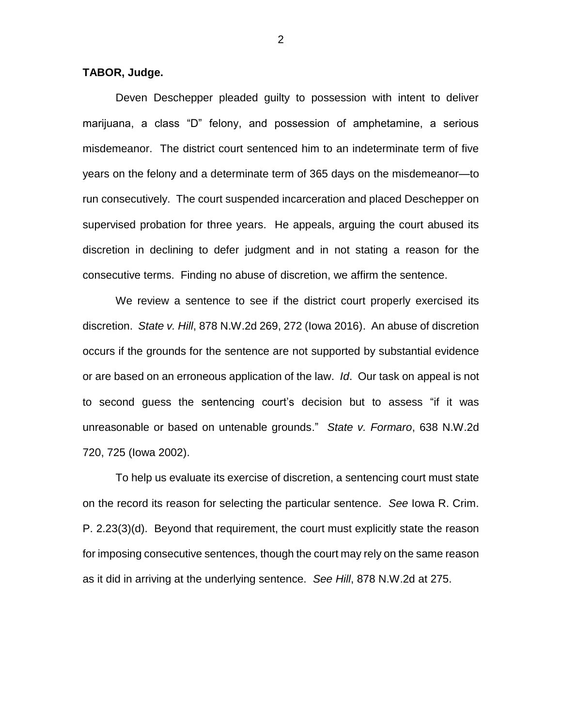#### **TABOR, Judge.**

Deven Deschepper pleaded guilty to possession with intent to deliver marijuana, a class "D" felony, and possession of amphetamine, a serious misdemeanor. The district court sentenced him to an indeterminate term of five years on the felony and a determinate term of 365 days on the misdemeanor—to run consecutively. The court suspended incarceration and placed Deschepper on supervised probation for three years. He appeals, arguing the court abused its discretion in declining to defer judgment and in not stating a reason for the consecutive terms. Finding no abuse of discretion, we affirm the sentence.

We review a sentence to see if the district court properly exercised its discretion. *State v. Hill*, 878 N.W.2d 269, 272 (Iowa 2016). An abuse of discretion occurs if the grounds for the sentence are not supported by substantial evidence or are based on an erroneous application of the law. *Id*. Our task on appeal is not to second guess the sentencing court's decision but to assess "if it was unreasonable or based on untenable grounds." *State v. Formaro*, 638 N.W.2d 720, 725 (Iowa 2002).

To help us evaluate its exercise of discretion, a sentencing court must state on the record its reason for selecting the particular sentence. *See* Iowa R. Crim. P. 2.23(3)(d). Beyond that requirement, the court must explicitly state the reason for imposing consecutive sentences, though the court may rely on the same reason as it did in arriving at the underlying sentence. *See Hill*, 878 N.W.2d at 275.

2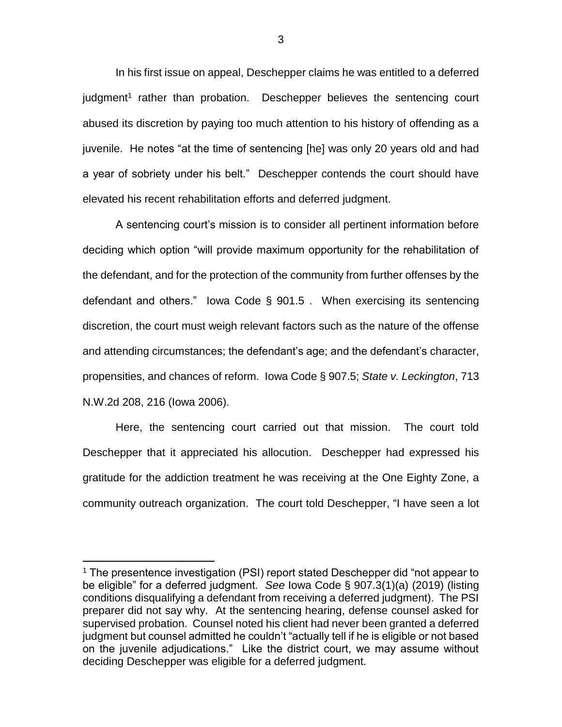In his first issue on appeal, Deschepper claims he was entitled to a deferred judgment<sup>1</sup> rather than probation. Deschepper believes the sentencing court abused its discretion by paying too much attention to his history of offending as a juvenile. He notes "at the time of sentencing [he] was only 20 years old and had a year of sobriety under his belt." Deschepper contends the court should have elevated his recent rehabilitation efforts and deferred judgment.

A sentencing court's mission is to consider all pertinent information before deciding which option "will provide maximum opportunity for the rehabilitation of the defendant, and for the protection of the community from further offenses by the defendant and others." Iowa Code § 901.5 . When exercising its sentencing discretion, the court must weigh relevant factors such as the nature of the offense and attending circumstances; the defendant's age; and the defendant's character, propensities, and chances of reform. Iowa Code § 907.5; *State v. Leckington*, 713 N.W.2d 208, 216 (Iowa 2006).

Here, the sentencing court carried out that mission. The court told Deschepper that it appreciated his allocution. Deschepper had expressed his gratitude for the addiction treatment he was receiving at the One Eighty Zone, a community outreach organization. The court told Deschepper, "I have seen a lot

 $\overline{a}$ 

<sup>&</sup>lt;sup>1</sup> The presentence investigation (PSI) report stated Deschepper did "not appear to be eligible" for a deferred judgment. *See* Iowa Code § 907.3(1)(a) (2019) (listing conditions disqualifying a defendant from receiving a deferred judgment). The PSI preparer did not say why. At the sentencing hearing, defense counsel asked for supervised probation. Counsel noted his client had never been granted a deferred judgment but counsel admitted he couldn't "actually tell if he is eligible or not based on the juvenile adjudications." Like the district court, we may assume without deciding Deschepper was eligible for a deferred judgment.